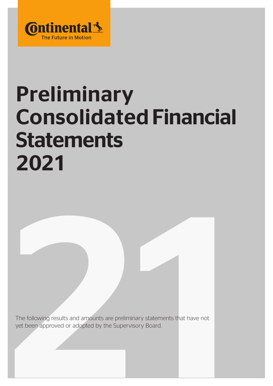

# Preliminary Consolidated Financial Statements 2021

The following results and amounts are preliminary statements that have not yet been approved or adopted by the Supervisory Board. The following results and arnounts are preliminary statements that have not<br>yet been approved or adopted by the Supervisory Board.<br>1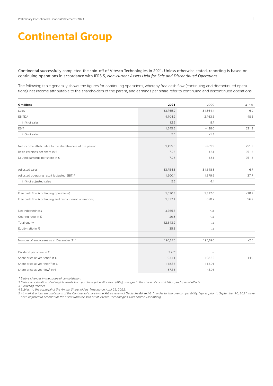## Continental Group

Continental successfully completed the spin-off of Vitesco Technologies in 2021. Unless otherwise stated, reporting is based on continuing operations in accordance with IFRS 5, *Non-current Assets Held for Sale and Discontinued Operations*.

The following table generally shows the figures for continuing operations, whereby free cash flow (continuing and discontinued operations), net income attributable to the shareholders of the parent, and earnings per share refer to continuing and discontinued operations.

| $\epsilon$ millions                                       | 2021              | 2020                     | $\Delta$ in % |
|-----------------------------------------------------------|-------------------|--------------------------|---------------|
| Sales                                                     | 33,765.2          | 31,864.4                 | 6.0           |
| <b>EBITDA</b>                                             | 4,104.2           | 2,763.5                  | 48.5          |
| in % of sales                                             | 12.2              | 8.7                      |               |
| EBIT                                                      | 1,845.8           | $-428.0$                 | 531.3         |
| in % of sales                                             | 5.5               | $-1.3$                   |               |
|                                                           |                   |                          |               |
| Net income attributable to the shareholders of the parent | 1,455.0           | $-961.9$                 | 251.3         |
| Basic earnings per share in €                             | 7.28              | $-4.81$                  | 251.3         |
| Diluted earnings per share in $\epsilon$                  | 7.28              | $-4.81$                  | 251.3         |
|                                                           |                   |                          |               |
| Adjusted sales <sup>1</sup>                               | 33,754.3          | 31,648.8                 | 6.7           |
| Adjusted operating result (adjusted EBIT) <sup>2</sup>    | 1,900.4           | 1.379.9                  | 37.7          |
| in % of adjusted sales                                    | 5.6               | 4.4                      |               |
|                                                           |                   |                          |               |
| Free cash flow (continuing operations)                    | 1,070.3           | 1,317.0                  | $-18.7$       |
| Free cash flow (continuing and discontinued operations)   | 1,372.4           | 878.7                    | 56.2          |
|                                                           |                   |                          |               |
| Net indebtedness                                          | 3,765.5           | n. a.                    |               |
| Gearing ratio in %                                        | 29.8              | n. a.                    |               |
| Total equity                                              | 12,643.2          | n. a.                    |               |
| Equity ratio in %                                         | 35.3              | n. a.                    |               |
|                                                           |                   |                          |               |
| Number of employees as at December 31 <sup>3</sup>        | 190,875           | 195,896                  | $-2.6$        |
|                                                           |                   |                          |               |
| Dividend per share in €                                   | 2.20 <sup>4</sup> | $\overline{\phantom{0}}$ |               |
| Share price at year end <sup>5</sup> in $\epsilon$        | 93.11             | 108.32                   | $-14.0$       |
| Share price at year high <sup>5</sup> in €                | 118.53            | 113.01                   |               |
| Share price at year low <sup>5</sup> in $\in$             | 87.53             | 45.96                    |               |

*1 Before changes in the scope of consolidation.*

*2 Before amortization of intangible assets from purchase price allocation (PPA), changes in the scope of consolidation, and special effects.*

*3 Excluding trainees.* 

*4 Subject to the approval of the Annual Shareholders' Meeting on April 29, 2022.*

*5 All market prices are quotations of the Continental share in the Xetra system of Deutsche Börse AG. In order to improve comparability, figures prior to September 16, 2021, have been adjusted to account for the effect from the spin-off of Vitesco Technologies. Data source: Bloomberg.*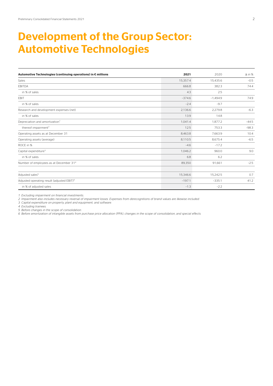# Development of the Group Sector: Automotive Technologies

| Automotive Technologies (continuing operations) in € millions | 2021     | 2020       | $\Delta$ in % |
|---------------------------------------------------------------|----------|------------|---------------|
| Sales                                                         | 15,357.4 | 15,435.6   | $-0.5$        |
| <b>EBITDA</b>                                                 | 666.8    | 382.3      | 74.4          |
| in % of sales                                                 | 4.3      | 2.5        |               |
| EBIT                                                          | $-374.6$ | $-1,494.9$ | 74.9          |
| in % of sales                                                 | $-2.4$   | $-9.7$     |               |
| Research and development expenses (net)                       | 2,136.6  | 2,279.8    | $-6.3$        |
| in % of sales                                                 | 13.9     | 14.8       |               |
| Depreciation and amortization <sup>1</sup>                    | 1,041.4  | 1,877.2    | $-44.5$       |
| thereof impairment <sup>2</sup>                               | 12.5     | 753.3      | $-98.3$       |
| Operating assets as at December 31                            | 8,463.8  | 7,663.9    | 10.4          |
| Operating assets (average)                                    | 8.110.5  | 8,675.4    | $-6.5$        |
| ROCE in %                                                     | $-4.6$   | $-17.2$    |               |
| Capital expenditure <sup>3</sup>                              | 1,046.2  | 960.0      | 9.0           |
| in % of sales                                                 | 6.8      | 6.2        |               |
| Number of employees as at December 31 <sup>4</sup>            | 89,350   | 91,661     | $-2.5$        |
|                                                               |          |            |               |
| Adjusted sales <sup>5</sup>                                   | 15,346.6 | 15,242.5   | 0.7           |
| Adjusted operating result (adjusted EBIT) <sup>6</sup>        | $-197.1$ | $-335.1$   | 41.2          |
| in % of adjusted sales                                        | $-1.3$   | $-2.2$     |               |

*1 Excluding impairment on financial investments.*

*2 Impairment also includes necessary reversal of impairment losses. Expenses from derecognitions of brand values are likewise included.*

*3 Capital expenditure on property, plant and equipment, and software. 4 Excluding trainees.*

*5 Before changes in the scope of consolidation.*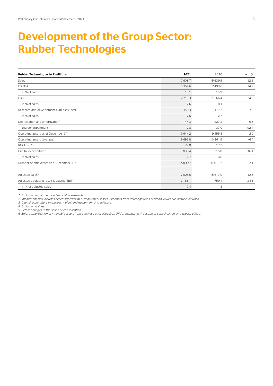# Development of the Group Sector: Rubber Technologies

| Rubber Technologies in € millions                      | 2021     | 2020     | $\Delta$ in % |
|--------------------------------------------------------|----------|----------|---------------|
| Sales                                                  | 17,608.7 | 15,639.5 | 12.6          |
| <b>EBITDA</b>                                          | 3,359.6  | 2,493.6  | 34.7          |
| in % of sales                                          | 19.1     | 15.9     |               |
| EBIT                                                   | 2,215.3  | 1,266.4  | 74.9          |
| in % of sales                                          | 12.6     | 8.1      |               |
| Research and development expenses (net)                | 450.3    | 417.7    | 7.8           |
| in % of sales                                          | 2.6      | 2.7      |               |
| Depreciation and amortization <sup>1</sup>             | 1,144.3  | 1,227.2  | $-6.8$        |
| thereof impairment <sup>2</sup>                        | 2.8      | 37.0     | $-92.4$       |
| Operating assets as at December 31                     | 9,644.2  | 9,455.8  | 2.0           |
| Operating assets (average)                             | 9,695.8  | 10,361.9 | $-6.4$        |
| ROCE in %                                              | 22.8     | 12.2     |               |
| Capital expenditure <sup>3</sup>                       | 830.4    | 715.0    | 16.1          |
| in % of sales                                          | 4.7      | 4.6      |               |
| Number of employees as at December 31 <sup>4</sup>     | 98,177   | 100,327  | $-2.1$        |
|                                                        |          |          |               |
| Adjusted sales <sup>5</sup>                            | 17,608.6 | 15,617.0 | 12.8          |
| Adjusted operating result (adjusted EBIT) <sup>6</sup> | 2,186.1  | 1,759.4  | 24.3          |
| in % of adjusted sales                                 | 12.4     | 11.3     |               |

*1 Excluding impairment on financial investments.*

*2 Impairment also includes necessary reversal of impairment losses. Expenses from derecognitions of brand values are likewise included.*

*3 Capital expenditure on property, plant and equipment, and software. 4 Excluding trainees.*

*5 Before changes in the scope of consolidation.*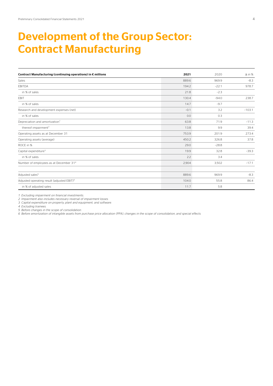# Development of the Group Sector: Contract Manufacturing

| Contract Manufacturing (continuing operations) in € millions | 2021   | 2020    | $\Delta$ in % |
|--------------------------------------------------------------|--------|---------|---------------|
| Sales                                                        | 889.6  | 969.9   | $-8.3$        |
| <b>EBITDA</b>                                                | 194.2  | $-22.1$ | 978.7         |
| in % of sales                                                | 21.8   | $-2.3$  |               |
| EBIT                                                         | 130.4  | $-94.0$ | 238.7         |
| in % of sales                                                | 14.7   | $-9.7$  |               |
| Research and development expenses (net)                      | $-0.1$ | 3.2     | $-103.1$      |
| in % of sales                                                | 0.0    | 0.3     |               |
| Depreciation and amortization <sup>1</sup>                   | 63.8   | 71.9    | $-11.3$       |
| thereof impairment <sup>2</sup>                              | 13.8   | 9.9     | 39.4          |
| Operating assets as at December 31                           | 753.9  | 201.9   | 273.4         |
| Operating assets (average)                                   | 450.2  | 326.8   | 37.8          |
| ROCE in %                                                    | 29.0   | $-28.8$ |               |
| Capital expenditure <sup>3</sup>                             | 19.9   | 32.8    | $-39.3$       |
| in % of sales                                                | 2.2    | 3.4     |               |
| Number of employees as at December 31 <sup>4</sup>           | 2,904  | 3,502   | $-17.1$       |
|                                                              |        |         |               |
| Adjusted sales <sup>5</sup>                                  | 889.6  | 969.9   | $-8.3$        |
| Adjusted operating result (adjusted EBIT) <sup>6</sup>       | 104.0  | 55.8    | 86.4          |
| in % of adjusted sales                                       | 11.7   | 5.8     |               |

*1 Excluding impairment on financial investments.*

*2 Impairment also includes necessary reversal of impairment losses.*

*3 Capital expenditure on property, plant and equipment, and software. 4 Excluding trainees.*

*5 Before changes in the scope of consolidation.*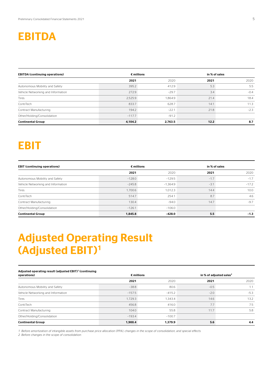### EBITDA

| <b>EBITDA (continuing operations)</b> |          | $\epsilon$ millions | in % of sales |        |
|---------------------------------------|----------|---------------------|---------------|--------|
|                                       | 2021     | 2020                | 2021          | 2020   |
| Autonomous Mobility and Safety        | 395.2    | 412.9               | 5.3           | 5.5    |
| Vehicle Networking and Information    | 272.9    | $-29.7$             | 3.4           | $-0.4$ |
| Tires                                 | 2,525.9  | 1.864.9             | 21.4          | 18.4   |
| ContiTech                             | 833.7    | 628.7               | 14.1          | 11.3   |
| Contract Manufacturing                | 194.2    | $-22.1$             | 21.8          | $-2.3$ |
| Other/Holding/Consolidation           | $-117.7$ | $-91.2$             |               |        |
| <b>Continental Group</b>              | 4.104.2  | 2,763.5             | 12.2          | 8.7    |

# **EBIT**

| <b>EBIT (continuing operations)</b> |          | $\epsilon$ millions | in % of sales |         |
|-------------------------------------|----------|---------------------|---------------|---------|
|                                     | 2021     | 2020                | 2021          | 2020    |
| Autonomous Mobility and Safety      | $-128.0$ | $-129.5$            | $-1.7$        | $-1.7$  |
| Vehicle Networking and Information  | $-245.8$ | $-1.364.9$          | $-3.1$        | $-17.2$ |
| Tires                               | 1.700.6  | 1.012.3             | 14.4          | 10.0    |
| ContiTech                           | 514.7    | 254.1               | 8.7           | 4.6     |
| Contract Manufacturing              | 130.4    | $-94.0$             | 14.7          | $-9.7$  |
| Other/Holding/Consolidation         | $-126.1$ | $-106.0$            |               |         |
| <b>Continental Group</b>            | 1.845.8  | $-428.0$            | 5.5           | $-1.3$  |

# Adjusted Operating Result (Adjusted EBIT)1

#### Adjusted operating result (adjusted EBIT)<sup>1</sup> (continuing

| operations)                        |          | $\epsilon$ millions |        | in % of adjusted sales <sup>2</sup> |  |
|------------------------------------|----------|---------------------|--------|-------------------------------------|--|
|                                    | 2021     | 2020                | 2021   | 2020                                |  |
| Autonomous Mobility and Safety     | $-38.8$  | 80.6                | $-0.5$ | 1.1                                 |  |
| Vehicle Networking and Information | $-157.5$ | $-415.2$            | $-2.0$ | $-5.3$                              |  |
| Tires                              | 1,729.3  | 1,343.4             | 14.6   | 13.2                                |  |
| ContiTech                          | 456.8    | 416.0               | 7.7    | 7.5                                 |  |
| Contract Manufacturing             | 104.0    | 55.8                | 11.7   | 5.8                                 |  |
| Other/Holding/Consolidation        | $-193.4$ | $-100.7$            |        |                                     |  |
| <b>Continental Group</b>           | 1,900.4  | 1,379.9             | 5.6    | 4.4                                 |  |

*1 Before amortization of intangible assets from purchase price allocation (PPA), changes in the scope of consolidation, and special effects.*

*2 Before changes in the scope of consolidation.*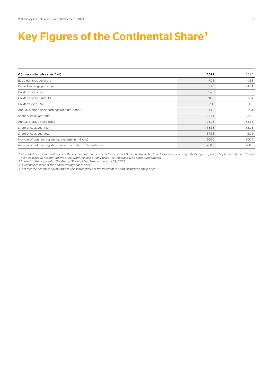### Key Figures of the Continental Share<sup>1</sup>

| € (unless otherwise specified)                               | 2021              | 2020    |
|--------------------------------------------------------------|-------------------|---------|
| Basic earnings per share                                     | 7.28              | $-4.81$ |
| Diluted earnings per share                                   | 7.28              | $-4.81$ |
| Dividend per share                                           | 2.20 <sup>2</sup> |         |
| Dividend payout ratio (%)                                    | $30.2^2$          | n. a.   |
| Dividend yield <sup>3</sup> (%)                              | $2.1^2$           | 0.0     |
| Annual average price-earnings ratio (P/E ratio) <sup>4</sup> | 14.2              | n. a.   |
| Share price at year end                                      | 93.11             | 108.32  |
| Annual average share price                                   | 103.03            | 83.33   |
| Share price at year high                                     | 118.53            | 113.01  |
| Share price at year low                                      | 87.53             | 45.96   |
| Number of outstanding shares, average (in millions)          | 200.0             | 200.0   |
| Number of outstanding shares as at December 31 (in millions) | 200.0             | 200.0   |

1 All market prices are quotations of the Continental share in the Xetra system of Deutsche Börse AG. In order to improve comparability, figures prior to September 16, 2021, have *been adjusted to account for the effect from the spin-off of Vitesco Technologies. Data source: Bloomberg.*

*2 Subject to the approval of the Annual Shareholders' Meeting on April 29, 2022.*

*3 Dividend per share at the annual average share price.*

*4 Net income per share attributable to the shareholders of the parent at the annual average share price.*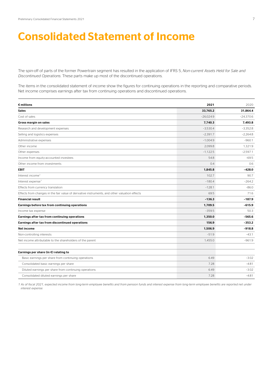### Consolidated Statement of Income

The spin-off of parts of the former Powertrain segment has resulted in the application of IFRS 5, *Non-current Assets Held for Sale and Discontinued Operations*. These parts make up most of the discontinued operations.

The items in the consolidated statement of income show the figures for continuing operations in the reporting and comparative periods. Net income comprises earnings after tax from continuing operations and discontinued operations.

| $\epsilon$ millions                                                                           | 2021        | 2020        |
|-----------------------------------------------------------------------------------------------|-------------|-------------|
| <b>Sales</b>                                                                                  | 33,765.2    | 31,864.4    |
| Cost of sales                                                                                 | $-26,024.9$ | $-24,370.6$ |
| Gross margin on sales                                                                         | 7,740.3     | 7,493.8     |
| Research and development expenses                                                             | $-3,530.4$  | $-3,352.8$  |
| Selling and logistics expenses                                                                | $-2,391.7$  | $-2,264.8$  |
| Administrative expenses                                                                       | $-1.004.9$  | $-960.1$    |
| Other income                                                                                  | 2.099.8     | 1.321.9     |
| Other expenses                                                                                | $-1.122.5$  | $-2.597.1$  |
| Income from equity-accounted investees                                                        | 54.8        | $-69.5$     |
| Other income from investments                                                                 | 0.4         | 0.6         |
| EBIT                                                                                          | 1,845.8     | $-428.0$    |
| Interest income <sup>1</sup>                                                                  | 102.7       | 90.7        |
| Interest expense <sup>1</sup>                                                                 | $-180.4$    | $-264.2$    |
| Effects from currency translation                                                             | $-128.1$    | $-86.0$     |
| Effects from changes in the fair value of derivative instruments, and other valuation effects | 69.5        | 71.6        |
| <b>Financial result</b>                                                                       | $-136.3$    | $-187.9$    |
| Earnings before tax from continuing operations                                                | 1.709.5     | $-615.9$    |
| Income tax expense                                                                            | $-359.5$    | 50.3        |
| Earnings after tax from continuing operations                                                 | 1,350.0     | $-565.6$    |
| Earnings after tax from discontinued operations                                               | 156.9       | $-353.2$    |
| Net income                                                                                    | 1,506.9     | $-918.8$    |
| Non-controlling interests                                                                     | $-51.9$     | $-43.1$     |
| Net income attributable to the shareholders of the parent                                     | 1,455.0     | $-961.9$    |
|                                                                                               |             |             |
| Earnings per share (in €) relating to                                                         |             |             |
| Basic earnings per share from continuing operations                                           | 6.49        | $-3.02$     |
| Consolidated basic earnings per share                                                         | 7.28        | $-4.81$     |
| Diluted earnings per share from continuing operations                                         | 6.49        | $-3.02$     |
| Consolidated diluted earnings per share                                                       | 7.28        | $-4.81$     |

*1 As of fiscal 2021, expected income from long-term employee benefits and from pension funds and interest expense from long-term employee benefits are reported net under interest expense.*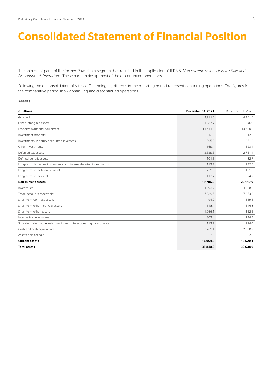# Consolidated Statement of Financial Position

The spin-off of parts of the former Powertrain segment has resulted in the application of IFRS 5, *Non-current Assets Held for Sale and Discontinued Operations*. These parts make up most of the discontinued operations.

Following the deconsolidation of Vitesco Technologies, all items in the reporting period represent continuing operations. The figures for the comparative period show continuing and discontinued operations.

#### Assets

| $\epsilon$ millions                                                | December 31, 2021 | December 31, 2020 |
|--------------------------------------------------------------------|-------------------|-------------------|
| Goodwill                                                           | 3.711.8           | 4.361.6           |
| Other intangible assets                                            | 1,087.7           | 1,346.9           |
| Property, plant and equipment                                      | 11,411.6          | 13,760.6          |
| Investment property                                                | 12.0              | 12.2              |
| Investments in equity-accounted investees                          | 305.9             | 351.3             |
| Other investments                                                  | 169.4             | 123.4             |
| Deferred tax assets                                                | 2.529.5           | 2,751.4           |
| Defined benefit assets                                             | 101.6             | 82.7              |
| Long-term derivative instruments and interest-bearing investments  | 113.2             | 142.6             |
| Long-term other financial assets                                   | 229.6             | 161.0             |
| Long-term other assets                                             | 113.7             | 24.2              |
| <b>Non-current assets</b>                                          | 19,786.0          | 23,117.9          |
| Inventories                                                        | 4.993.7           | 4,238.2           |
| Trade accounts receivable                                          | 7.089.5           | 7.353.2           |
| Short-term contract assets                                         | 94.0              | 119.1             |
| Short-term other financial assets                                  | 118.4             | 146.8             |
| Short-term other assets                                            | 1.066.1           | 1,352.5           |
| Income tax receivables                                             | 303.4             | 234.8             |
| Short-term derivative instruments and interest-bearing investments | 112.7             | 114.0             |
| Cash and cash equivalents                                          | 2,269.1           | 2,938.7           |
| Assets held for sale                                               | 7.9               | 22.8              |
| <b>Current assets</b>                                              | 16,054.8          | 16,520.1          |
| <b>Total assets</b>                                                | 35,840.8          | 39.638.0          |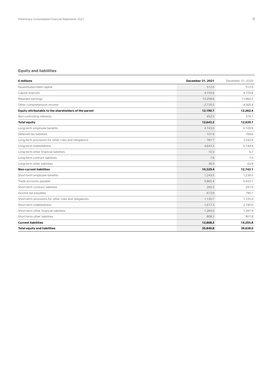#### Equity and liabilities

| $\epsilon$ millions                                   | December 31, 2021 | December 31, 2020 |
|-------------------------------------------------------|-------------------|-------------------|
| Issued/subscribed capital                             | 512.0             | 512.0             |
| Capital reserves                                      | 4.155.6           | 4.155.6           |
| Retained earnings                                     | 10.258.6          | 11.960.2          |
| Other comprehensive income                            | $-2.735.5$        | $-4,365.4$        |
| Equity attributable to the shareholders of the parent | 12,190.7          | 12,262.4          |
| Non-controlling interests                             | 452.5             | 376.7             |
| <b>Total equity</b>                                   | 12.643.2          | 12.639.1          |
| Long-term employee benefits                           | 4.743.0           | 6.109.9           |
| Deferred tax liabilities                              | 101.6             | 168.6             |
| Long-term provisions for other risks and obligations  | 787.7             | 1.242.6           |
| Long-term indebtedness                                | 4,643.2           | 5,144.4           |
| Long-term other financial liabilities                 | 10.3              | 6.7               |
| Long-term contract liabilities                        | 7.6               | 7.0               |
| Long-term other liabilities                           | 36.0              | 63.9              |
| <b>Non-current liabilities</b>                        | 10.329.4          | 12.743.1          |
| Short-term employee benefits                          | 1.243.5           | 1,236.5           |
| Trade accounts payable                                | 5.865.4           | 5.933.1           |
| Short-term contract liabilities                       | 265.2             | 291.0             |
| Income tax payables                                   | 672.9             | 790.1             |
| Short-term provisions for other risks and obligations | 1.130.7           | 1.725.4           |
| Short-term indebtedness                               | 1.617.3           | 2.190.0           |
| Short-term other financial liabilities                | 1.265.0           | 1.287.9           |
| Short-term other liabilities                          | 808.2             | 801.8             |
| <b>Current liabilities</b>                            | 12,868.2          | 14,255.8          |
| <b>Total equity and liabilities</b>                   | 35,840.8          | 39,638.0          |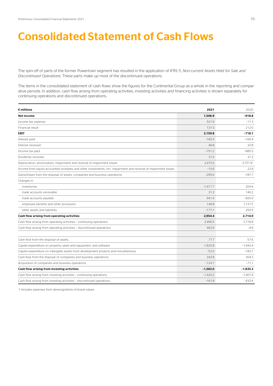### Consolidated Statement of Cash Flows

The spin-off of parts of the former Powertrain segment has resulted in the application of IFRS 5, *Non-current Assets Held for Sale and Discontinued Operations*. These parts make up most of the discontinued operations.

The items in the consolidated statement of cash flows show the figures for the Continental Group as a whole in the reporting and comparative periods. In addition, cash flow arising from operating activities, investing activities and financing activities is shown separately for continuing operations and discontinued operations.

| $\epsilon$ millions                                                                                              | 2021       | 2020                 |
|------------------------------------------------------------------------------------------------------------------|------------|----------------------|
| Net income                                                                                                       | 1.506.9    | $-918.8$             |
| Income tax expense                                                                                               | 521.9      | $-11.3$              |
| Financial result                                                                                                 | 131.0      | 212.0                |
| <b>EBIT</b>                                                                                                      | 2,159.8    | $-718.1$             |
| Interest paid                                                                                                    | $-165.4$   | $-169.4$             |
| Interest received                                                                                                | 46.8       | 32.8                 |
| Income tax paid                                                                                                  | $-751.2$   | $-885.5$             |
| Dividends received                                                                                               | 31.0       | 31.3                 |
| Depreciation, amortization, impairment and reversal of impairment losses                                         | 2.415.0    | 3,751.9 <sup>1</sup> |
| Income from equity-accounted investees and other investments, incl. impairment and reversal of impairment losses | $-10.6$    | 22.9                 |
| Gains/losses from the disposal of assets, companies and business operations                                      | $-295.6$   | $-187.7$             |
| Changes in                                                                                                       |            |                      |
| inventories                                                                                                      | $-1.417.7$ | 205.6                |
| trade accounts receivable                                                                                        | 31.2       | 140.2                |
| trade accounts payable                                                                                           | 941.4      | $-925.0$             |
| employee benefits and other provisions                                                                           | 146.8      | 1,121.5              |
| other assets and liabilities                                                                                     | $-177.1$   | 293.5                |
| Cash flow arising from operating activities                                                                      | 2,954.4    | 2.714.0              |
| Cash flow arising from operating activities - continuing operations                                              | 2.490.5    | 2.718.9              |
| Cash flow arising from operating activities - discontinued operations                                            | 463.9      | $-4.9$               |
| Cash flow from the disposal of assets                                                                            | 77.7       | 57.6                 |
| Capital expenditure on property, plant and equipment, and software                                               | $-1,825.8$ | $-1,942.4$           |
| Capital expenditure on intangible assets from development projects and miscellaneous                             | $-52.0$    | $-183.7$             |
| Cash flow from the disposal of companies and business operations                                                 | 342.8      | 304.3                |
| Acquisition of companies and business operations                                                                 | $-124.7$   | $-71.1$              |
| Cash flow arising from investing activities                                                                      | $-1,582.0$ | $-1.835.3$           |
| Cash flow arising from investing activities - continuing operations                                              | $-1.420.2$ | $-1,401.9$           |
| Cash flow arising from investing activities - discontinued operations                                            | $-161.8$   | $-433.4$             |

*1 Includes expenses from derecognitions of brand values.*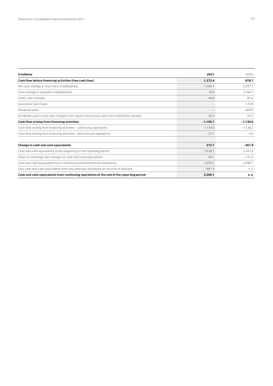| $\epsilon$ millions                                                                        | 2021       | 2020       |
|--------------------------------------------------------------------------------------------|------------|------------|
| Cash flow before financing activities (free cash flow)                                     | 1,372.4    | 878.7      |
| Net cash change in short-term indebtedness                                                 | $-1.099.1$ | $-2,557.7$ |
| Cash change in long-term indebtedness                                                      | 16.6       | 2.160.7    |
| Other cash changes                                                                         | $-44.9$    | 81.9       |
| Successive purchases                                                                       |            | $-172.8$   |
| Dividends paid                                                                             |            | $-600.0$   |
| Dividends paid to and cash changes from equity transactions with non-controlling interests | $-29.3$    | $-52.7$    |
| Cash flow arising from financing activities                                                | $-1,156.7$ | $-1,140.6$ |
| Cash flow arising from financing activities - continuing operations                        | $-1.134.0$ | $-1.136.2$ |
| Cash flow arising from financing activities - discontinued operations                      | $-22.7$    | $-4.4$     |
| Change in cash and cash equivalents                                                        | 215.7      | $-261.9$   |
| Cash and cash equivalents at the beginning of the reporting period                         | 2.938.7    | 3.341.8    |
| Effect of exchange-rate changes on cash and cash equivalents                               | 96.1       | $-141.2$   |
| Cash and cash equivalents from continuing and discontinued operations                      | 3.250.5    | 2.938.7    |
| Less cash and cash equivalents from discontinued operations at the time of disposal        | $-981.4$   | n. a.      |
| Cash and cash equivalents from continuing operations at the end of the reporting period    | 2,269.1    | n. a.      |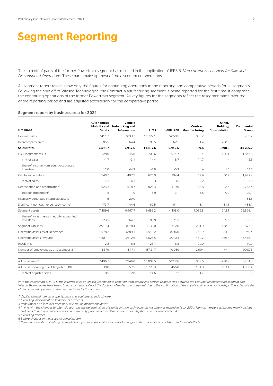## Segment Reporting

The spin-off of parts of the former Powertrain segment has resulted in the application of IFRS 5, *Non-current Assets Held for Sale and Discontinued Operations*. These parts make up most of the discontinued operations.

All segment report tables show only the figures for continuing operations in the reporting and comparative periods for all segments. Following the spin-off of Vitesco Technologies, the Contract Manufacturing segment is being reported for the first time. It comprises the continuing operations of the former Powertrain segment. All key figures for the segments reflect the resegmentation over the entire reporting period and are adjusted accordingly for the comparative period.

#### Segment report by business area for 2021

| $\epsilon$ millions                                    | <b>Autonomous</b><br><b>Mobility and</b><br>Safety | Vehicle<br>Networking and<br>Information | <b>Tires</b>             | ContiTech                | Contract<br><b>Manufacturing</b> | Other/<br>Holdina/<br>Consolidation | <b>Continental</b><br>Group |
|--------------------------------------------------------|----------------------------------------------------|------------------------------------------|--------------------------|--------------------------|----------------------------------|-------------------------------------|-----------------------------|
| External sales                                         | 7.411.2                                            | 7.893.2                                  | 11.722.1                 | 5.850.5                  | 888.2                            | $\overline{\phantom{0}}$            | 33.765.2                    |
| Intercompany sales                                     | 85.5                                               | 64.4                                     | 85.5                     | 62.1                     | 1.4                              | $-298.9$                            |                             |
| Sales (total)                                          | 7.496.7                                            | 7.957.6                                  | 11.807.6                 | 5.912.6                  | 889.6                            | $-298.9$                            | 33.765.2                    |
| EBIT (segment result)                                  | $-128.0$                                           | $-245.8$                                 | 1.700.6                  | 514.7                    | 130.4                            | $-126.1$                            | 1.845.8                     |
| in % of sales                                          | $-1.7$                                             | $-3.1$                                   | 14.4                     | 8.7                      | 14.7                             | $\overline{\phantom{0}}$            | 5.5                         |
| thereof income from equity-accounted<br>investees      | 12.0                                               | 44.9                                     | $-2.8$                   | $-0.3$                   |                                  | 1.0                                 | 54.8                        |
| Capital expenditure <sup>1</sup>                       | 548.7                                              | 497.5                                    | 626.0                    | 204.4                    | 19.9                             | 50.9                                | 1.947.4                     |
| in % of sales                                          | 7.3                                                | 6.3                                      | 5.3                      | 3.5                      | 2.2                              | $\overline{\phantom{0}}$            | 5.8                         |
| Depreciation and amortization <sup>2</sup>             | 523.2                                              | 518.7                                    | 825.3                    | 319.0                    | 63.8                             | 8.4                                 | 2.258.4                     |
| thereof impairment <sup>3</sup>                        | 1.5                                                | 11.0                                     | 5.9                      | $-3.1$                   | 13.8                             | 0.0                                 | 29.1                        |
| Internally generated intangible assets                 | 11.5                                               | 20.0                                     | $\overline{\phantom{0}}$ | $\overline{\phantom{0}}$ | $\overline{\phantom{0}}$         | $\overline{\phantom{0}}$            | 31.5                        |
| Significant non-cash expenses/income <sup>4</sup>      | $-173.7$                                           | $-144.6$                                 | $-69.5$                  | $-61.1$                  | $-8.1$                           | $-31.1$                             | $-488.1$                    |
| Seament assets                                         | 7.489.6                                            | 6.967.7                                  | 9.683.2                  | 4.408.0                  | 1.035.8                          | 242.1                               | 29.826.4                    |
| thereof investments in equity-accounted<br>investees   | 123.5                                              | 64.2                                     | 86.8                     | 21.5                     |                                  | 9.9                                 | 305.9                       |
| Segment liabilities                                    | 2.911.4                                            | 3.078.4                                  | 3,135.0                  | 1.312.0                  | 281.9                            | 158.3                               | 10.877.0                    |
| Operating assets as at December 31                     | 4,578.2                                            | 3,889.3                                  | 6,548.2                  | 3.096.0                  | 753.9                            | 83.8                                | 18.949.4                    |
| Operating assets (average)                             | 4,501.1                                            | 3,612.6                                  | 6,625.5                  | 3,070.3                  | 450.2                            | 156.4                               | 18.416.1                    |
| ROCE in %                                              | $-2.8$                                             | $-6.8$                                   | 25.7                     | 16.8                     | 29.0                             | $\overline{\phantom{0}}$            | 10.0                        |
| Number of employees as at December 31 <sup>5</sup>     | 44.579                                             | 44.771                                   | 57,217                   | 40.960                   | 2.904                            | 444                                 | 190,875                     |
| Adjusted sales <sup>6</sup>                            | 7.496.7                                            | 7.946.8                                  | 11,807.5                 | 5.912.6                  | 889.6                            | $-298.9$                            | 33.754.3                    |
| Adjusted operating result (adjusted EBIT) <sup>7</sup> | $-38.8$                                            | $-157.5$                                 | 1,729.3                  | 456.8                    | 104.0                            | $-193.4$                            | 1,900.4                     |
| in % of adjusted sales                                 | $-0.5$                                             | $-2.0$                                   | 14.6                     | 7.7                      | 11.7                             | $\overline{\phantom{0}}$            | 5.6                         |

With the application of IFRS 5, the external sales of Vitesco Technologies resulting from supply and service relationships between the Contract Manufacturing segment and *Vitesco Technologies have been shown as external sales of the Contract Manufacturing segment due to the continuation of the supply and service relationships. The external sales of discontinued operations have been reduced by this amount.* 

*1 Capital expenditure on property, plant and equipment, and software.*

*2 Excluding impairment on financial investments.*

*3 Impairment also includes necessary reversal of impairment losses.* 

*4 In line with the changes to internal reporting, the determination of significant non-cash expenses/income was revised in fiscal 2021. Non-cash expenses/income mainly include additions to and reversals of pension and warranty provisions as well as provisions for litigation and environmental risks.*

*5 Excluding trainees.*

*6 Before changes in the scope of consolidation.*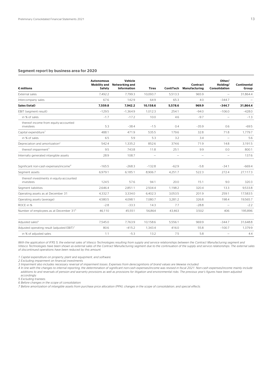#### Segment report by business area for 2020

| $\epsilon$ millions                                    | <b>Autonomous</b><br><b>Mobility and</b><br>Safety | Vehicle<br>Networking and<br>Information | <b>Tires</b>             |                                 | Contract<br>ContiTech Manufacturing | Other/<br>Holdina/<br><b>Consolidation</b> | Continental<br>Group |
|--------------------------------------------------------|----------------------------------------------------|------------------------------------------|--------------------------|---------------------------------|-------------------------------------|--------------------------------------------|----------------------|
| External sales                                         | 7.492.2                                            | 7.799.3                                  | 10.093.7                 | 5.513.3                         | 965.9                               | $\overline{\phantom{0}}$                   | 31.864.4             |
| Intercompany sales                                     | 67.6                                               | 142.9                                    | 64.9                     | 65.3                            | 4.0                                 | $-344.7$                                   |                      |
| Sales (total)                                          | 7.559.8                                            | 7.942.2                                  | 10.158.6                 | 5.578.6                         | 969.9                               | $-344.7$                                   | 31.864.4             |
| EBIT (segment result)                                  | $-129.5$                                           | $-1.364.9$                               | 1.012.3                  | 254.1                           | $-94.0$                             | $-106.0$                                   | $-428.0$             |
| in % of sales                                          | $-1.7$                                             | $-17.2$                                  | 10.0                     | 4.6                             | $-9.7$                              | $\qquad \qquad -$                          | $-1.3$               |
| thereof income from equity-accounted<br>investees      | 5.3                                                | $-38.4$                                  | $-1.5$                   | 0.4                             | $-35.9$                             | 0.6                                        | $-69.5$              |
| Capital expenditure <sup>1</sup>                       | 488.1                                              | 471.9                                    | 535.5                    | 179.6                           | 32.8                                | 71.8                                       | 1,779.7              |
| in % of sales                                          | 6.5                                                | 5.9                                      | 5.3                      | 3.2                             | 3.4                                 | $\overline{\phantom{0}}$                   | 5.6                  |
| Depreciation and amortization <sup>2</sup>             | 542.4                                              | 1.335.2                                  | 852.6                    | 374.6                           | 71.9                                | 14.8                                       | 3.191.5              |
| thereof impairment <sup>3</sup>                        | 9.5                                                | 743.8                                    | 11.8                     | 25.1                            | 9.9                                 | 0.0                                        | 800.1                |
| Internally generated intangible assets                 | 28.9                                               | 108.7                                    | $\overline{\phantom{0}}$ | $\overbrace{\phantom{1232211}}$ | $\overline{\phantom{m}}$            | $\overbrace{\phantom{1232211}}$            | 137.6                |
| Significant non-cash expenses/income <sup>4</sup>      | $-165.5$                                           | $-268.3$                                 | $-132.8$                 | $-62.9$                         | $-5.8$                              | $-34.1$                                    | $-669.4$             |
| Seament assets                                         | 6.979.1                                            | 6.185.1                                  | 8.906.7                  | 4.251.7                         | 522.3                               | 272.4                                      | 27.117.3             |
| thereof investments in equity-accounted<br>investees   | 124.5                                              | 57.6                                     | 94.1                     | 20.0                            | 15.1                                | 9.0                                        | 320.3                |
| Segment liabilities                                    | 2,646.4                                            | 2,851.1                                  | 2,504.4                  | 1,198.2                         | 320.4                               | 13.3                                       | 9,533.8              |
| Operating assets as at December 31                     | 4.332.7                                            | 3.334.0                                  | 6.402.3                  | 3.053.5                         | 201.9                               | 259.1                                      | 17.583.5             |
| Operating assets (average)                             | 4.580.5                                            | 4.098.1                                  | 7.080.7                  | 3.281.2                         | 326.8                               | 198.4                                      | 19.565.7             |
| ROCE in %                                              | $-2.8$                                             | $-33.3$                                  | 14.3                     | 7.7                             | $-28.8$                             | $\overline{\phantom{0}}$                   | $-2.2$               |
| Number of employees as at December 31 <sup>5</sup>     | 46.110                                             | 45.551                                   | 56.864                   | 43.463                          | 3,502                               | 406                                        | 195.896              |
| Adjusted sales <sup>6</sup>                            | 7.545.0                                            | 7.763.9                                  | 10.158.6                 | 5.556.1                         | 969.9                               | $-344.7$                                   | 31.648.8             |
| Adjusted operating result (adjusted EBIT) <sup>7</sup> | 80.6                                               | $-415.2$                                 | 1,343.4                  | 416.0                           | 55.8                                | $-100.7$                                   | 1,379.9              |
| in % of adjusted sales                                 | 1.1                                                | $-5.3$                                   | 13.2                     | 7.5                             | 5.8                                 | $\overline{\phantom{0}}$                   | 4.4                  |

With the application of IFRS 5, the external sales of Vitesco Technologies resulting from supply and service relationships between the Contract Manufacturing segment and *Vitesco Technologies have been shown as external sales of the Contract Manufacturing segment due to the continuation of the supply and service relationships. The external sales of discontinued operations have been reduced by this amount.*

*1 Capital expenditure on property, plant and equipment, and software.*

*2 Excluding impairment on financial investments.*

3 Impairment also includes necessary reversal of impairment losses. Expenses from derecognitions of brand values are likewise included.

4 In line with the changes to internal reporting, the determination of significant non-cash expenses/income was revised in fiscal 2021. Non-cash expenses/income mainly include<br>additions to and reversals of pension and warr *accordingly.*

*5 Excluding trainees.*

*6 Before changes in the scope of consolidation.*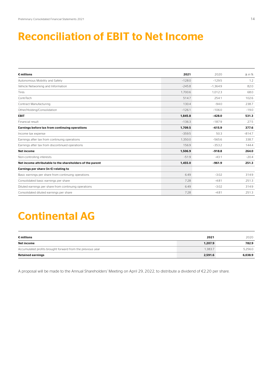## Reconciliation of EBIT to Net Income

| $\epsilon$ millions                                       | 2021     | 2020       | $\Delta$ in % |
|-----------------------------------------------------------|----------|------------|---------------|
| Autonomous Mobility and Safety                            | $-128.0$ | $-129.5$   | 1.2           |
| Vehicle Networking and Information                        | $-245.8$ | $-1.364.9$ | 82.0          |
| <b>Tires</b>                                              | 1.700.6  | 1.012.3    | 68.0          |
| ContiTech                                                 | 514.7    | 254.1      | 102.6         |
| Contract Manufacturing                                    | 130.4    | $-94.0$    | 238.7         |
| Other/Holding/Consolidation                               | $-126.1$ | $-106.0$   | $-19.0$       |
| <b>EBIT</b>                                               | 1,845.8  | $-428.0$   | 531.3         |
| Financial result                                          | $-136.3$ | $-187.9$   | 27.5          |
| Earnings before tax from continuing operations            | 1.709.5  | $-615.9$   | 377.6         |
| Income tax expense                                        | $-359.5$ | 50.3       | $-814.7$      |
| Earnings after tax from continuing operations             | 1.350.0  | $-565.6$   | 338.7         |
| Earnings after tax from discontinued operations           | 156.9    | $-353.2$   | 144.4         |
| <b>Net income</b>                                         | 1,506.9  | $-918.8$   | 264.0         |
| Non-controlling interests                                 | $-51.9$  | $-43.1$    | $-20.4$       |
| Net income attributable to the shareholders of the parent | 1,455.0  | $-961.9$   | 251.3         |
| Earnings per share (in $\epsilon$ ) relating to           |          |            |               |
| Basic earnings per share from continuing operations       | 6.49     | $-3.02$    | 314.9         |
| Consolidated basic earnings per share                     | 7.28     | $-4.81$    | 251.3         |
| Diluted earnings per share from continuing operations     | 6.49     | $-3.02$    | 314.9         |
| Consolidated diluted earnings per share                   | 7.28     | $-4.81$    | 251.3         |

# Continental AG

| $\epsilon$ millions                                        | 2021    | 2020    |
|------------------------------------------------------------|---------|---------|
| Net income                                                 | 1.207.9 | 782.9   |
| Accumulated profits brought forward from the previous year | 1.383.7 | 5,256.0 |
| <b>Retained earnings</b>                                   | 2,591.6 | 6,038.9 |

A proposal will be made to the Annual Shareholders' Meeting on April 29, 2022, to distribute a dividend of €2.20 per share.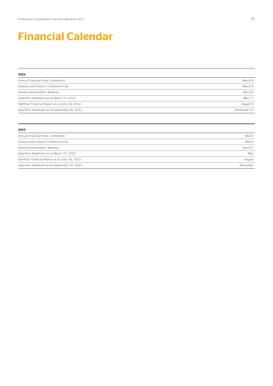## Financial Calendar

| 2022                                           |             |
|------------------------------------------------|-------------|
| Annual Financial Press Conference              | March 9     |
| Analyst and Investor Conference Call           | March 9     |
| Annual Shareholders' Meeting                   | April 29    |
| Quarterly Statement as at March 31, 2022       | May 11      |
| Half-Year Financial Report as at June 30, 2022 | August 9    |
| Quarterly Statement as at September 30, 2022   | November 10 |

| 2023                                           |          |
|------------------------------------------------|----------|
| Annual Financial Press Conference              | March    |
| Analyst and Investor Conference Call           | March    |
| Annual Shareholders' Meeting                   | April 27 |
| Quarterly Statement as at March 31, 2023       | May      |
| Half-Year Financial Report as at June 30, 2023 | August   |
| Quarterly Statement as at September 30, 2023   | November |